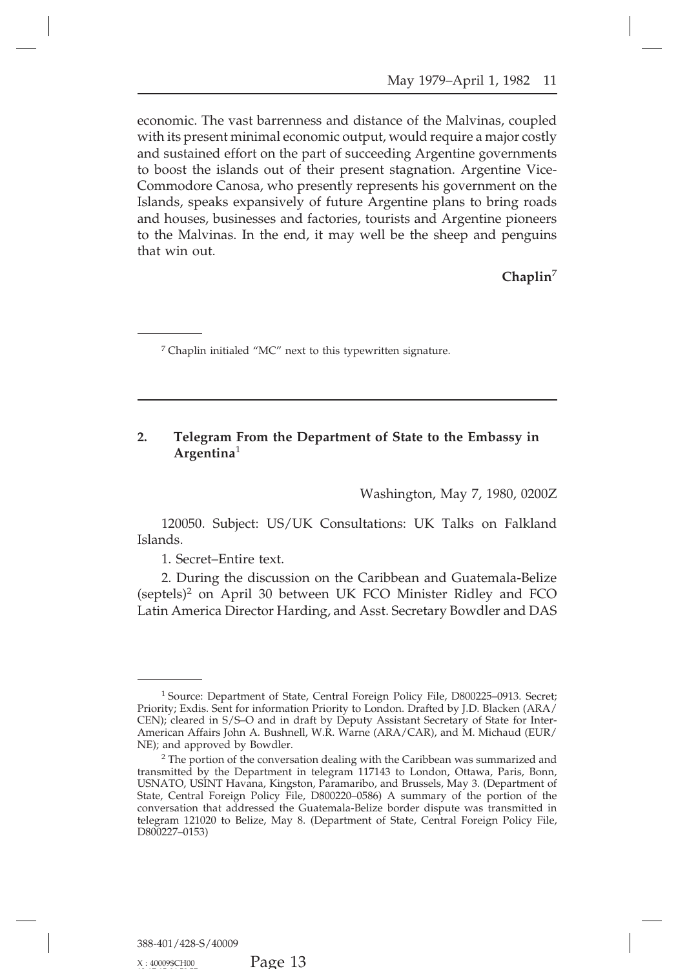## **2. Telegram From the Department of State to the Embassy in Argentina**<sup>1</sup> nt of State to the Embassy in<br>Washington, May 7, 1980, 0200Z<br>Itations: UK Talks on Falkland

120050. Subject: US/UK Consultations: UK Talks on Falkland<br>120050. Subject: US/UK Consultations: UK Talks on Falkland<br>1. Secret–Entire text. Islands.

120050. Subject: US/UK Consultations: UK Talks on Falkland<br>Islands.<br>1. Secret–Entire text.<br>2. During the discussion on the Caribbean and Guatemala-Belize<br>(septels)<sup>2</sup> on April 30 between UK FCO Minister Ridley and FCO<br>Lati Washington, May 7, 1980, 02002<br>120050. Subject: US/UK Consultations: UK Talks on Falkland<br>1. Secret–Entire text.<br>2. During the discussion on the Caribbean and Guatemala-Belize<br>tels)<sup>2</sup> on April 30 between UK FCO Minister R 120050. Subject: US/UK Consultations: UK Talks on Falkland<br>Islands.<br>2. During the discussion on the Caribbean and Guatemala-Belize<br>(septels)<sup>2</sup> on April 30 between UK FCO Minister Ridley and FCO<br>Latin America Director Hard LATIN AMERICA DEVIDENT: U.S. A THING ISLANDS.<br>
1. Secret–Entire text.<br>
2. During the discussion on the Caribbean and Guatemala-Belize<br>
(septels)<sup>2</sup> on April 30 between UK FCO Minister Ridley and FCO<br>
Latin America Director

<sup>&</sup>lt;sup>1</sup> Source: Department of State, Central Foreign Policy File, D800225–0913. Secret;<br>ity; Exdis. Sent for information Priority to London. Drafted by J.D. Blacken (ARA/<br>); cleared in S/S–O and in draft by Deputy Assistant Se <sup>1</sup> Source: Department of State, Central Foreign Policy File, D800225-0913. Secret;<br>Priority; Exdis. Sent for information Priority to London. Drafted by J.D. Blacken (ARA/<br>CEN); cleared in S/S-O and in draft by Deputy Assi <sup>1</sup> Source: Department of State, Central Foreign Policy File, D800225-0913. Secret;<br>Priority; Exdis. Sent for information Priority to London. Drafted by J.D. Blacken (ARA/CEN); cleared in S/S–O and in draft by Deputy Assis <sup>1</sup> Source: Department of State, Central Foreign Policy File, D800225–0913. Secret;<br>Priority; Exdis. Sent for information Priority to London. Drafted by J.D. Blacken (ARA/CEN); cleared in S/S–O and in draft by Deputy Assis <sup>1</sup> Source: Department of State, Central Foreign Policy File, D800225–0913. Secret;<br>Priority; Exdis. Sent for information Priority to London. Drafted by J.D. Blacken (ARA/CEN); cleared in S/S–O and in draft by Deputy Assis

Priority; Exdis. Sent for information Priority to London. Drafted by J.D. Blacken (ARA/CEN); cleared in S/S–O and in draft by Deputy Assistant Secretary of State for Inter-<br>American Affairs John A. Bushnell, W.R. Warne (AR CEN); cleared in S/S–O and in draft by Deputy Assistant Secretary of State for Inter-<br>American Affairs John A. Bushnell, W.R. Warne (ARA/CAR), and M. Michaud (EUR/<br>NE); and approved by Bowdler.<br><sup>2</sup> The portion of the conve American Affairs John A. Bushnell, W.R. Warne (ARA/CAR), and M. Michaud (EUR/<br>NE); and approved by Bowdler.<br><sup>2</sup> The portion of the conversation dealing with the Caribbean was summarized and<br>transmitted by the Department in NE); and approved by Bowdler.<br>
<sup>2</sup> The portion of the conversation dealing with the Caribbean was summarized and<br>
transmitted by the Department in telegram 117143 to London, Ottawa, Paris, Bonn,<br>
USNATO, USINT Havana, King <sup>2</sup> The portion of the conversation dealing with the Caribbean was summarized and transmitted by the Department in telegram 117143 to London, Ottawa, Paris, Bonn, USNATO, USINT Havana, Kingston, Paramaribo, and Brussels, D800227–0153)